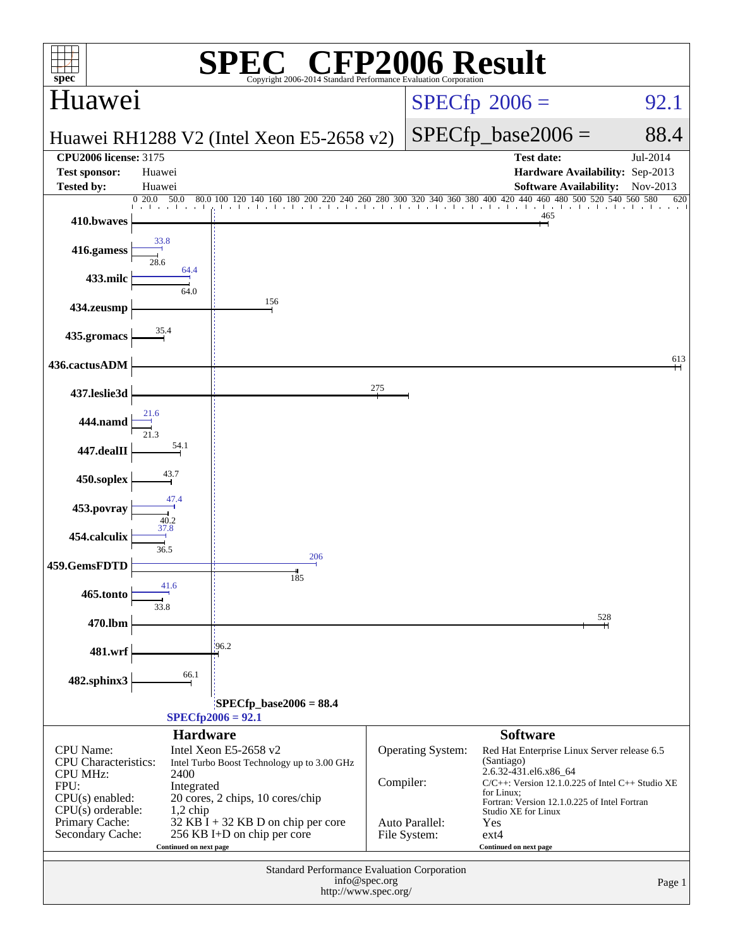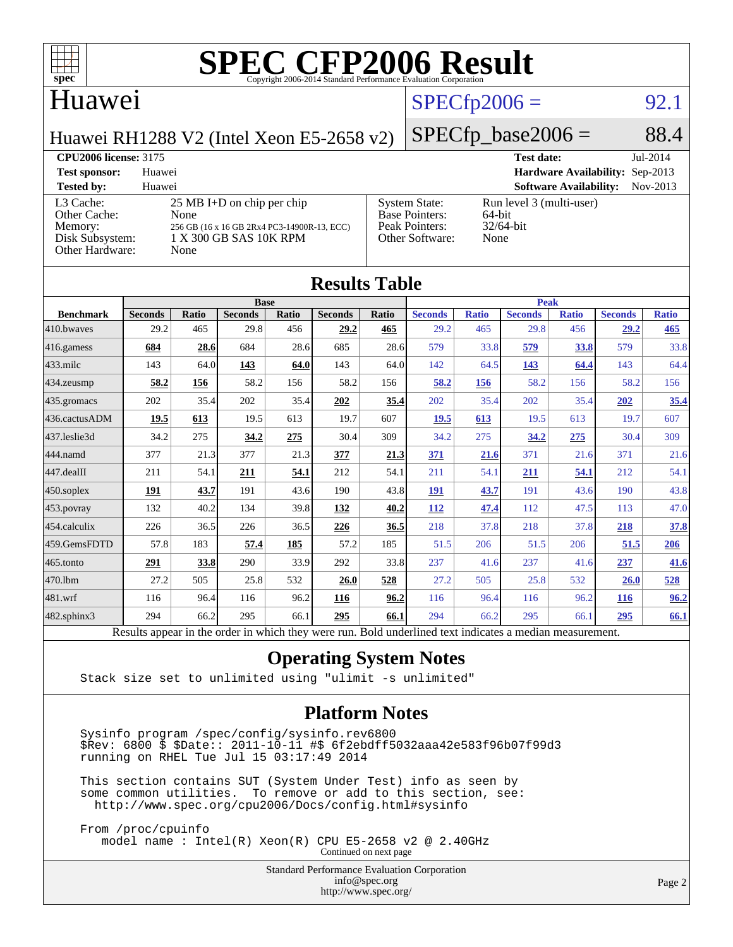

#### Huawei

### $SPECTp2006 = 92.1$

Huawei RH1288 V2 (Intel Xeon E5-2658 v2)

 $SPECfp\_base2006 = 88.4$ 

#### **[CPU2006 license:](http://www.spec.org/auto/cpu2006/Docs/result-fields.html#CPU2006license)** 3175 **[Test date:](http://www.spec.org/auto/cpu2006/Docs/result-fields.html#Testdate)** Jul-2014 **[Test sponsor:](http://www.spec.org/auto/cpu2006/Docs/result-fields.html#Testsponsor)** Huawei **[Hardware Availability:](http://www.spec.org/auto/cpu2006/Docs/result-fields.html#HardwareAvailability)** Sep-2013 **[Tested by:](http://www.spec.org/auto/cpu2006/Docs/result-fields.html#Testedby)** Huawei **[Software Availability:](http://www.spec.org/auto/cpu2006/Docs/result-fields.html#SoftwareAvailability)** Nov-2013 [L3 Cache:](http://www.spec.org/auto/cpu2006/Docs/result-fields.html#L3Cache) 25 MB I+D on chip per chip<br>Other Cache: None [Other Cache:](http://www.spec.org/auto/cpu2006/Docs/result-fields.html#OtherCache) [Memory:](http://www.spec.org/auto/cpu2006/Docs/result-fields.html#Memory) 256 GB (16 x 16 GB 2Rx4 PC3-14900R-13, ECC) [Disk Subsystem:](http://www.spec.org/auto/cpu2006/Docs/result-fields.html#DiskSubsystem) 1 X 300 GB SAS 10K RPM [Other Hardware:](http://www.spec.org/auto/cpu2006/Docs/result-fields.html#OtherHardware) None [System State:](http://www.spec.org/auto/cpu2006/Docs/result-fields.html#SystemState) Run level 3 (multi-user)<br>Base Pointers: 64-bit [Base Pointers:](http://www.spec.org/auto/cpu2006/Docs/result-fields.html#BasePointers) 64-bit<br>Peak Pointers: 32/64-bit [Peak Pointers:](http://www.spec.org/auto/cpu2006/Docs/result-fields.html#PeakPointers) [Other Software:](http://www.spec.org/auto/cpu2006/Docs/result-fields.html#OtherSoftware) None

| <b>Results Table</b>   |                                                                                                          |              |                |       |                |             |                |              |                |              |                |              |
|------------------------|----------------------------------------------------------------------------------------------------------|--------------|----------------|-------|----------------|-------------|----------------|--------------|----------------|--------------|----------------|--------------|
|                        | <b>Base</b>                                                                                              |              |                |       |                | <b>Peak</b> |                |              |                |              |                |              |
| <b>Benchmark</b>       | <b>Seconds</b>                                                                                           | <b>Ratio</b> | <b>Seconds</b> | Ratio | <b>Seconds</b> | Ratio       | <b>Seconds</b> | <b>Ratio</b> | <b>Seconds</b> | <b>Ratio</b> | <b>Seconds</b> | <b>Ratio</b> |
| 410.bwayes             | 29.2                                                                                                     | 465          | 29.8           | 456   | 29.2           | 465         | 29.2           | 465          | 29.8           | 456          | 29.2           | 465          |
| 416.gamess             | 684                                                                                                      | 28.6         | 684            | 28.6  | 685            | 28.6        | 579            | 33.8         | 579            | 33.8         | 579            | 33.8         |
| $433$ .milc            | 143                                                                                                      | 64.0         | 143            | 64.0  | 143            | 64.0        | 142            | 64.5         | 143            | 64.4         | 143            | 64.4         |
| $434$ . zeusmp         | 58.2                                                                                                     | 156          | 58.2           | 156   | 58.2           | 156         | 58.2           | 156          | 58.2           | 156          | 58.2           | 156          |
| $435.$ gromacs         | 202                                                                                                      | 35.4         | 202            | 35.4  | 202            | 35.4        | 202            | 35.4         | 202            | 35.4         | 202            | 35.4         |
| 436.cactusADM          | 19.5                                                                                                     | 613          | 19.5           | 613   | 19.7           | 607         | 19.5           | 613          | 19.5           | 613          | 19.7           | 607          |
| 437.leslie3d           | 34.2                                                                                                     | 275          | 34.2           | 275   | 30.4           | 309         | 34.2           | 275          | 34.2           | 275          | 30.4           | 309          |
| 444.namd               | 377                                                                                                      | 21.3         | 377            | 21.3  | 377            | 21.3        | 371            | 21.6         | 371            | 21.6         | 371            | 21.6         |
| $ 447 \text{.}$ dealII | 211                                                                                                      | 54.1         | 211            | 54.1  | 212            | 54.1        | 211            | 54.1         | 211            | 54.1         | 212            | 54.1         |
| $450$ .soplex          | 191                                                                                                      | 43.7         | 191            | 43.6  | 190            | 43.8        | 191            | 43.7         | 191            | 43.6         | 190            | 43.8         |
| $453$ .povray          | 132                                                                                                      | 40.2         | 134            | 39.8  | 132            | 40.2        | <b>112</b>     | 47.4         | 112            | 47.5         | 113            | 47.0         |
| $ 454$ .calculix       | 226                                                                                                      | 36.5         | 226            | 36.5  | 226            | 36.5        | 218            | 37.8         | 218            | 37.8         | 218            | 37.8         |
| 459.GemsFDTD           | 57.8                                                                                                     | 183          | 57.4           | 185   | 57.2           | 185         | 51.5           | 206          | 51.5           | 206          | 51.5           | 206          |
| $465$ .tonto           | 291                                                                                                      | 33.8         | 290            | 33.9  | 292            | 33.8        | 237            | 41.6         | 237            | 41.6         | 237            | 41.6         |
| 470.1bm                | 27.2                                                                                                     | 505          | 25.8           | 532   | 26.0           | 528         | 27.2           | 505          | 25.8           | 532          | 26.0           | 528          |
| 481.wrf                | 116                                                                                                      | 96.4         | 116            | 96.2  | 116            | 96.2        | 116            | 96.4         | 116            | 96.2         | 116            | 96.2         |
| $482$ .sphinx $3$      | 294                                                                                                      | 66.2         | 295            | 66.1  | 295            | 66.1        | 294            | 66.2         | 295            | 66.1         | 295            | 66.1         |
|                        | Results appear in the order in which they were run. Bold underlined text indicates a median measurement. |              |                |       |                |             |                |              |                |              |                |              |

#### **[Operating System Notes](http://www.spec.org/auto/cpu2006/Docs/result-fields.html#OperatingSystemNotes)**

Stack size set to unlimited using "ulimit -s unlimited"

#### **[Platform Notes](http://www.spec.org/auto/cpu2006/Docs/result-fields.html#PlatformNotes)**

 Sysinfo program /spec/config/sysinfo.rev6800 \$Rev: 6800 \$ \$Date:: 2011-10-11 #\$ 6f2ebdff5032aaa42e583f96b07f99d3 running on RHEL Tue Jul 15 03:17:49 2014

 This section contains SUT (System Under Test) info as seen by some common utilities. To remove or add to this section, see: <http://www.spec.org/cpu2006/Docs/config.html#sysinfo>

 From /proc/cpuinfo model name : Intel(R) Xeon(R) CPU E5-2658 v2 @ 2.40GHz Continued on next page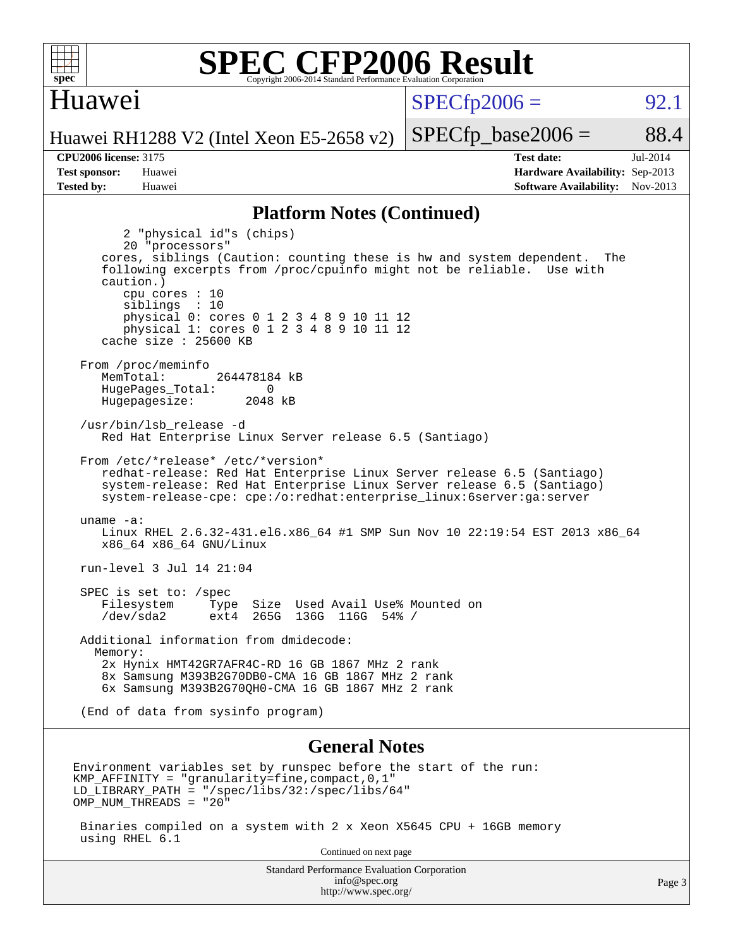

#### Huawei

 $SPECTp2006 = 92.1$ 

 $SPECTp\_base2006 = 88.4$ 

Huawei RH1288 V2 (Intel Xeon E5-2658 v2)

**[CPU2006 license:](http://www.spec.org/auto/cpu2006/Docs/result-fields.html#CPU2006license)** 3175 **[Test date:](http://www.spec.org/auto/cpu2006/Docs/result-fields.html#Testdate)** Jul-2014 **[Test sponsor:](http://www.spec.org/auto/cpu2006/Docs/result-fields.html#Testsponsor)** Huawei **[Hardware Availability:](http://www.spec.org/auto/cpu2006/Docs/result-fields.html#HardwareAvailability)** Sep-2013 **[Tested by:](http://www.spec.org/auto/cpu2006/Docs/result-fields.html#Testedby)** Huawei **[Software Availability:](http://www.spec.org/auto/cpu2006/Docs/result-fields.html#SoftwareAvailability)** Nov-2013

#### **[Platform Notes \(Continued\)](http://www.spec.org/auto/cpu2006/Docs/result-fields.html#PlatformNotes)**

 2 "physical id"s (chips) 20 "processors" cores, siblings (Caution: counting these is hw and system dependent. The following excerpts from /proc/cpuinfo might not be reliable. Use with caution.) cpu cores : 10 siblings : 10 physical 0: cores 0 1 2 3 4 8 9 10 11 12 physical 1: cores 0 1 2 3 4 8 9 10 11 12 cache size : 25600 KB From /proc/meminfo MemTotal: 264478184 kB HugePages\_Total: 0<br>Hugepagesize: 2048 kB Hugepagesize: /usr/bin/lsb\_release -d Red Hat Enterprise Linux Server release 6.5 (Santiago) From /etc/\*release\* /etc/\*version\* redhat-release: Red Hat Enterprise Linux Server release 6.5 (Santiago) system-release: Red Hat Enterprise Linux Server release 6.5 (Santiago) system-release-cpe: cpe:/o:redhat:enterprise\_linux:6server:ga:server uname -a: Linux RHEL 2.6.32-431.el6.x86\_64 #1 SMP Sun Nov 10 22:19:54 EST 2013 x86\_64 x86\_64 x86\_64 GNU/Linux run-level 3 Jul 14 21:04 SPEC is set to: /spec Filesystem Type Size Used Avail Use% Mounted on /dev/sda2 ext4 265G 136G 116G 54% / Additional information from dmidecode: Memory: 2x Hynix HMT42GR7AFR4C-RD 16 GB 1867 MHz 2 rank 8x Samsung M393B2G70DB0-CMA 16 GB 1867 MHz 2 rank 6x Samsung M393B2G70QH0-CMA 16 GB 1867 MHz 2 rank (End of data from sysinfo program) **[General Notes](http://www.spec.org/auto/cpu2006/Docs/result-fields.html#GeneralNotes)** Environment variables set by runspec before the start of the run: KMP AFFINITY = "granularity=fine, compact,  $0,1$ " LD\_LIBRARY\_PATH = "/spec/libs/32:/spec/libs/64" OMP\_NUM\_THREADS = "20"

 Binaries compiled on a system with 2 x Xeon X5645 CPU + 16GB memory using RHEL 6.1

Continued on next page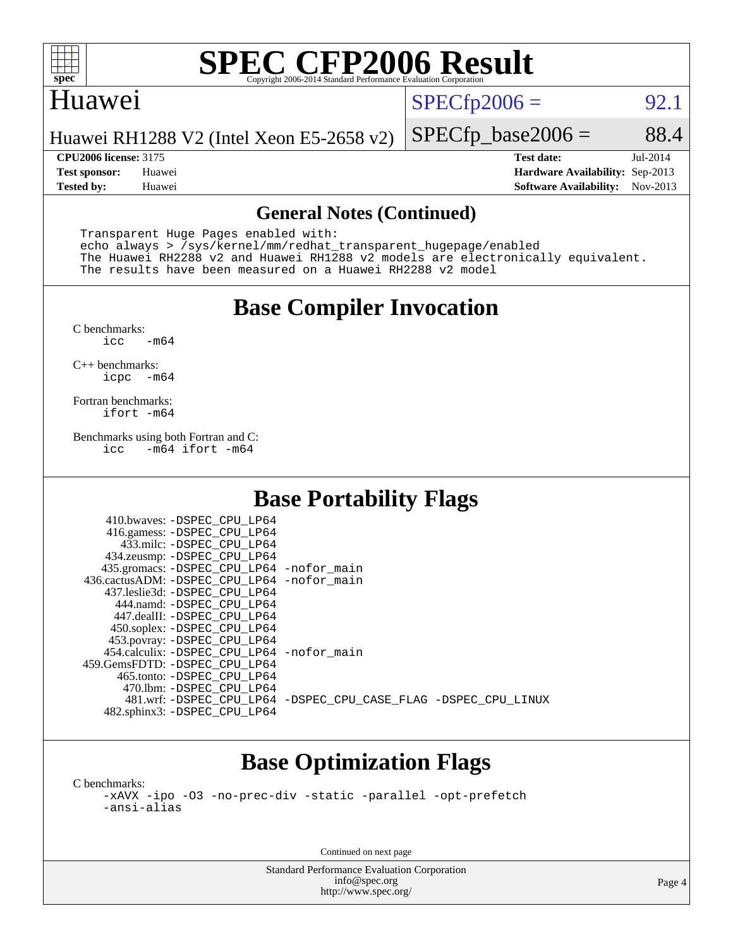

#### Huawei

 $SPECTp2006 = 92.1$ 

Huawei RH1288 V2 (Intel Xeon E5-2658 v2)

**[CPU2006 license:](http://www.spec.org/auto/cpu2006/Docs/result-fields.html#CPU2006license)** 3175 **[Test date:](http://www.spec.org/auto/cpu2006/Docs/result-fields.html#Testdate)** Jul-2014 **[Test sponsor:](http://www.spec.org/auto/cpu2006/Docs/result-fields.html#Testsponsor)** Huawei **[Hardware Availability:](http://www.spec.org/auto/cpu2006/Docs/result-fields.html#HardwareAvailability)** Sep-2013 **[Tested by:](http://www.spec.org/auto/cpu2006/Docs/result-fields.html#Testedby)** Huawei **[Software Availability:](http://www.spec.org/auto/cpu2006/Docs/result-fields.html#SoftwareAvailability)** Nov-2013

 $SPECTp\_base2006 = 88.4$ 

#### **[General Notes \(Continued\)](http://www.spec.org/auto/cpu2006/Docs/result-fields.html#GeneralNotes)**

 Transparent Huge Pages enabled with: echo always > /sys/kernel/mm/redhat\_transparent\_hugepage/enabled The Huawei RH2288 v2 and Huawei RH1288 v2 models are electronically equivalent. The results have been measured on a Huawei RH2288 v2 model

### **[Base Compiler Invocation](http://www.spec.org/auto/cpu2006/Docs/result-fields.html#BaseCompilerInvocation)**

 $C$  benchmarks:<br>icc  $-m64$ 

[C++ benchmarks:](http://www.spec.org/auto/cpu2006/Docs/result-fields.html#CXXbenchmarks) [icpc -m64](http://www.spec.org/cpu2006/results/res2014q3/cpu2006-20140715-30480.flags.html#user_CXXbase_intel_icpc_64bit_bedb90c1146cab66620883ef4f41a67e)

[Fortran benchmarks](http://www.spec.org/auto/cpu2006/Docs/result-fields.html#Fortranbenchmarks): [ifort -m64](http://www.spec.org/cpu2006/results/res2014q3/cpu2006-20140715-30480.flags.html#user_FCbase_intel_ifort_64bit_ee9d0fb25645d0210d97eb0527dcc06e)

[Benchmarks using both Fortran and C](http://www.spec.org/auto/cpu2006/Docs/result-fields.html#BenchmarksusingbothFortranandC):<br>icc -m64 ifort -m64  $-m64$  ifort  $-m64$ 

### **[Base Portability Flags](http://www.spec.org/auto/cpu2006/Docs/result-fields.html#BasePortabilityFlags)**

| 435.gromacs: -DSPEC_CPU_LP64 -nofor_main                       |
|----------------------------------------------------------------|
| 436.cactusADM: - DSPEC CPU LP64 - nofor main                   |
|                                                                |
|                                                                |
|                                                                |
|                                                                |
|                                                                |
| 454.calculix: - DSPEC CPU LP64 - nofor main                    |
|                                                                |
|                                                                |
|                                                                |
| 481.wrf: -DSPEC CPU_LP64 -DSPEC_CPU_CASE_FLAG -DSPEC_CPU_LINUX |
|                                                                |
|                                                                |

## **[Base Optimization Flags](http://www.spec.org/auto/cpu2006/Docs/result-fields.html#BaseOptimizationFlags)**

[C benchmarks](http://www.spec.org/auto/cpu2006/Docs/result-fields.html#Cbenchmarks): [-xAVX](http://www.spec.org/cpu2006/results/res2014q3/cpu2006-20140715-30480.flags.html#user_CCbase_f-xAVX) [-ipo](http://www.spec.org/cpu2006/results/res2014q3/cpu2006-20140715-30480.flags.html#user_CCbase_f-ipo) [-O3](http://www.spec.org/cpu2006/results/res2014q3/cpu2006-20140715-30480.flags.html#user_CCbase_f-O3) [-no-prec-div](http://www.spec.org/cpu2006/results/res2014q3/cpu2006-20140715-30480.flags.html#user_CCbase_f-no-prec-div) [-static](http://www.spec.org/cpu2006/results/res2014q3/cpu2006-20140715-30480.flags.html#user_CCbase_f-static) [-parallel](http://www.spec.org/cpu2006/results/res2014q3/cpu2006-20140715-30480.flags.html#user_CCbase_f-parallel) [-opt-prefetch](http://www.spec.org/cpu2006/results/res2014q3/cpu2006-20140715-30480.flags.html#user_CCbase_f-opt-prefetch) [-ansi-alias](http://www.spec.org/cpu2006/results/res2014q3/cpu2006-20140715-30480.flags.html#user_CCbase_f-ansi-alias)

Continued on next page

Standard Performance Evaluation Corporation [info@spec.org](mailto:info@spec.org) <http://www.spec.org/>

Page 4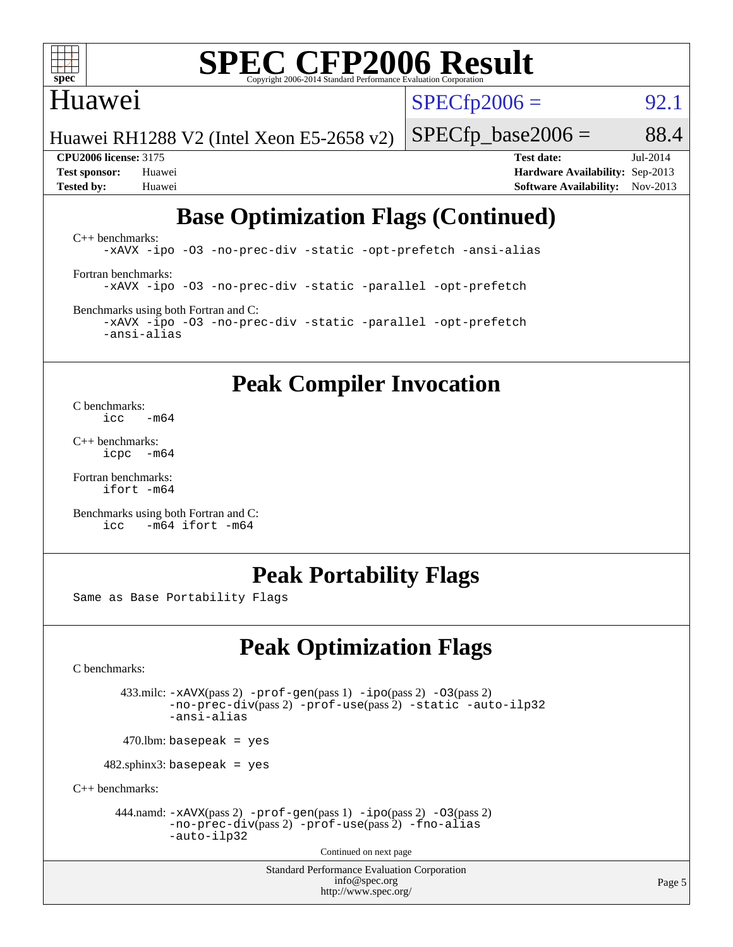

#### Huawei

 $SPECTp2006 = 92.1$ 

Huawei RH1288 V2 (Intel Xeon E5-2658 v2)

 $SPECTp\_base2006 = 88.4$ 

**[Tested by:](http://www.spec.org/auto/cpu2006/Docs/result-fields.html#Testedby)** Huawei **[Software Availability:](http://www.spec.org/auto/cpu2006/Docs/result-fields.html#SoftwareAvailability)** Nov-2013

**[CPU2006 license:](http://www.spec.org/auto/cpu2006/Docs/result-fields.html#CPU2006license)** 3175 **[Test date:](http://www.spec.org/auto/cpu2006/Docs/result-fields.html#Testdate)** Jul-2014 **[Test sponsor:](http://www.spec.org/auto/cpu2006/Docs/result-fields.html#Testsponsor)** Huawei **[Hardware Availability:](http://www.spec.org/auto/cpu2006/Docs/result-fields.html#HardwareAvailability)** Sep-2013

## **[Base Optimization Flags \(Continued\)](http://www.spec.org/auto/cpu2006/Docs/result-fields.html#BaseOptimizationFlags)**

[C++ benchmarks:](http://www.spec.org/auto/cpu2006/Docs/result-fields.html#CXXbenchmarks) [-xAVX](http://www.spec.org/cpu2006/results/res2014q3/cpu2006-20140715-30480.flags.html#user_CXXbase_f-xAVX) [-ipo](http://www.spec.org/cpu2006/results/res2014q3/cpu2006-20140715-30480.flags.html#user_CXXbase_f-ipo) [-O3](http://www.spec.org/cpu2006/results/res2014q3/cpu2006-20140715-30480.flags.html#user_CXXbase_f-O3) [-no-prec-div](http://www.spec.org/cpu2006/results/res2014q3/cpu2006-20140715-30480.flags.html#user_CXXbase_f-no-prec-div) [-static](http://www.spec.org/cpu2006/results/res2014q3/cpu2006-20140715-30480.flags.html#user_CXXbase_f-static) [-opt-prefetch](http://www.spec.org/cpu2006/results/res2014q3/cpu2006-20140715-30480.flags.html#user_CXXbase_f-opt-prefetch) [-ansi-alias](http://www.spec.org/cpu2006/results/res2014q3/cpu2006-20140715-30480.flags.html#user_CXXbase_f-ansi-alias) [Fortran benchmarks](http://www.spec.org/auto/cpu2006/Docs/result-fields.html#Fortranbenchmarks): [-xAVX](http://www.spec.org/cpu2006/results/res2014q3/cpu2006-20140715-30480.flags.html#user_FCbase_f-xAVX) [-ipo](http://www.spec.org/cpu2006/results/res2014q3/cpu2006-20140715-30480.flags.html#user_FCbase_f-ipo) [-O3](http://www.spec.org/cpu2006/results/res2014q3/cpu2006-20140715-30480.flags.html#user_FCbase_f-O3) [-no-prec-div](http://www.spec.org/cpu2006/results/res2014q3/cpu2006-20140715-30480.flags.html#user_FCbase_f-no-prec-div) [-static](http://www.spec.org/cpu2006/results/res2014q3/cpu2006-20140715-30480.flags.html#user_FCbase_f-static) [-parallel](http://www.spec.org/cpu2006/results/res2014q3/cpu2006-20140715-30480.flags.html#user_FCbase_f-parallel) [-opt-prefetch](http://www.spec.org/cpu2006/results/res2014q3/cpu2006-20140715-30480.flags.html#user_FCbase_f-opt-prefetch) [Benchmarks using both Fortran and C](http://www.spec.org/auto/cpu2006/Docs/result-fields.html#BenchmarksusingbothFortranandC): [-xAVX](http://www.spec.org/cpu2006/results/res2014q3/cpu2006-20140715-30480.flags.html#user_CC_FCbase_f-xAVX) [-ipo](http://www.spec.org/cpu2006/results/res2014q3/cpu2006-20140715-30480.flags.html#user_CC_FCbase_f-ipo) [-O3](http://www.spec.org/cpu2006/results/res2014q3/cpu2006-20140715-30480.flags.html#user_CC_FCbase_f-O3) [-no-prec-div](http://www.spec.org/cpu2006/results/res2014q3/cpu2006-20140715-30480.flags.html#user_CC_FCbase_f-no-prec-div) [-static](http://www.spec.org/cpu2006/results/res2014q3/cpu2006-20140715-30480.flags.html#user_CC_FCbase_f-static) [-parallel](http://www.spec.org/cpu2006/results/res2014q3/cpu2006-20140715-30480.flags.html#user_CC_FCbase_f-parallel) [-opt-prefetch](http://www.spec.org/cpu2006/results/res2014q3/cpu2006-20140715-30480.flags.html#user_CC_FCbase_f-opt-prefetch)

**[Peak Compiler Invocation](http://www.spec.org/auto/cpu2006/Docs/result-fields.html#PeakCompilerInvocation)**

[C benchmarks](http://www.spec.org/auto/cpu2006/Docs/result-fields.html#Cbenchmarks):  $\frac{1}{2}$ cc  $-\text{m64}$ 

[-ansi-alias](http://www.spec.org/cpu2006/results/res2014q3/cpu2006-20140715-30480.flags.html#user_CC_FCbase_f-ansi-alias)

[C++ benchmarks:](http://www.spec.org/auto/cpu2006/Docs/result-fields.html#CXXbenchmarks) [icpc -m64](http://www.spec.org/cpu2006/results/res2014q3/cpu2006-20140715-30480.flags.html#user_CXXpeak_intel_icpc_64bit_bedb90c1146cab66620883ef4f41a67e)

[Fortran benchmarks](http://www.spec.org/auto/cpu2006/Docs/result-fields.html#Fortranbenchmarks): [ifort -m64](http://www.spec.org/cpu2006/results/res2014q3/cpu2006-20140715-30480.flags.html#user_FCpeak_intel_ifort_64bit_ee9d0fb25645d0210d97eb0527dcc06e)

[Benchmarks using both Fortran and C](http://www.spec.org/auto/cpu2006/Docs/result-fields.html#BenchmarksusingbothFortranandC): [icc -m64](http://www.spec.org/cpu2006/results/res2014q3/cpu2006-20140715-30480.flags.html#user_CC_FCpeak_intel_icc_64bit_0b7121f5ab7cfabee23d88897260401c) [ifort -m64](http://www.spec.org/cpu2006/results/res2014q3/cpu2006-20140715-30480.flags.html#user_CC_FCpeak_intel_ifort_64bit_ee9d0fb25645d0210d97eb0527dcc06e)

#### **[Peak Portability Flags](http://www.spec.org/auto/cpu2006/Docs/result-fields.html#PeakPortabilityFlags)**

Same as Base Portability Flags

## **[Peak Optimization Flags](http://www.spec.org/auto/cpu2006/Docs/result-fields.html#PeakOptimizationFlags)**

[C benchmarks](http://www.spec.org/auto/cpu2006/Docs/result-fields.html#Cbenchmarks):

 433.milc: [-xAVX](http://www.spec.org/cpu2006/results/res2014q3/cpu2006-20140715-30480.flags.html#user_peakPASS2_CFLAGSPASS2_LDFLAGS433_milc_f-xAVX)(pass 2) [-prof-gen](http://www.spec.org/cpu2006/results/res2014q3/cpu2006-20140715-30480.flags.html#user_peakPASS1_CFLAGSPASS1_LDFLAGS433_milc_prof_gen_e43856698f6ca7b7e442dfd80e94a8fc)(pass 1) [-ipo](http://www.spec.org/cpu2006/results/res2014q3/cpu2006-20140715-30480.flags.html#user_peakPASS2_CFLAGSPASS2_LDFLAGS433_milc_f-ipo)(pass 2) [-O3](http://www.spec.org/cpu2006/results/res2014q3/cpu2006-20140715-30480.flags.html#user_peakPASS2_CFLAGSPASS2_LDFLAGS433_milc_f-O3)(pass 2) [-no-prec-div](http://www.spec.org/cpu2006/results/res2014q3/cpu2006-20140715-30480.flags.html#user_peakPASS2_CFLAGSPASS2_LDFLAGS433_milc_f-no-prec-div)(pass 2) [-prof-use](http://www.spec.org/cpu2006/results/res2014q3/cpu2006-20140715-30480.flags.html#user_peakPASS2_CFLAGSPASS2_LDFLAGS433_milc_prof_use_bccf7792157ff70d64e32fe3e1250b55)(pass 2) [-static](http://www.spec.org/cpu2006/results/res2014q3/cpu2006-20140715-30480.flags.html#user_peakOPTIMIZE433_milc_f-static) [-auto-ilp32](http://www.spec.org/cpu2006/results/res2014q3/cpu2006-20140715-30480.flags.html#user_peakCOPTIMIZE433_milc_f-auto-ilp32) [-ansi-alias](http://www.spec.org/cpu2006/results/res2014q3/cpu2006-20140715-30480.flags.html#user_peakCOPTIMIZE433_milc_f-ansi-alias)

 $470.$ lbm: basepeak = yes

482.sphinx3: basepeak = yes

[C++ benchmarks:](http://www.spec.org/auto/cpu2006/Docs/result-fields.html#CXXbenchmarks)

444.namd:  $-xAVX(pass 2)$  $-xAVX(pass 2)$  [-prof-gen](http://www.spec.org/cpu2006/results/res2014q3/cpu2006-20140715-30480.flags.html#user_peakPASS1_CXXFLAGSPASS1_LDFLAGS444_namd_prof_gen_e43856698f6ca7b7e442dfd80e94a8fc)(pass 1) [-ipo](http://www.spec.org/cpu2006/results/res2014q3/cpu2006-20140715-30480.flags.html#user_peakPASS2_CXXFLAGSPASS2_LDFLAGS444_namd_f-ipo)(pass 2) [-O3](http://www.spec.org/cpu2006/results/res2014q3/cpu2006-20140715-30480.flags.html#user_peakPASS2_CXXFLAGSPASS2_LDFLAGS444_namd_f-O3)(pass 2) [-no-prec-div](http://www.spec.org/cpu2006/results/res2014q3/cpu2006-20140715-30480.flags.html#user_peakPASS2_CXXFLAGSPASS2_LDFLAGS444_namd_f-no-prec-div)(pass 2) [-prof-use](http://www.spec.org/cpu2006/results/res2014q3/cpu2006-20140715-30480.flags.html#user_peakPASS2_CXXFLAGSPASS2_LDFLAGS444_namd_prof_use_bccf7792157ff70d64e32fe3e1250b55)(pass 2) [-fno-alias](http://www.spec.org/cpu2006/results/res2014q3/cpu2006-20140715-30480.flags.html#user_peakCXXOPTIMIZEOPTIMIZE444_namd_f-no-alias_694e77f6c5a51e658e82ccff53a9e63a) [-auto-ilp32](http://www.spec.org/cpu2006/results/res2014q3/cpu2006-20140715-30480.flags.html#user_peakCXXOPTIMIZE444_namd_f-auto-ilp32)

Continued on next page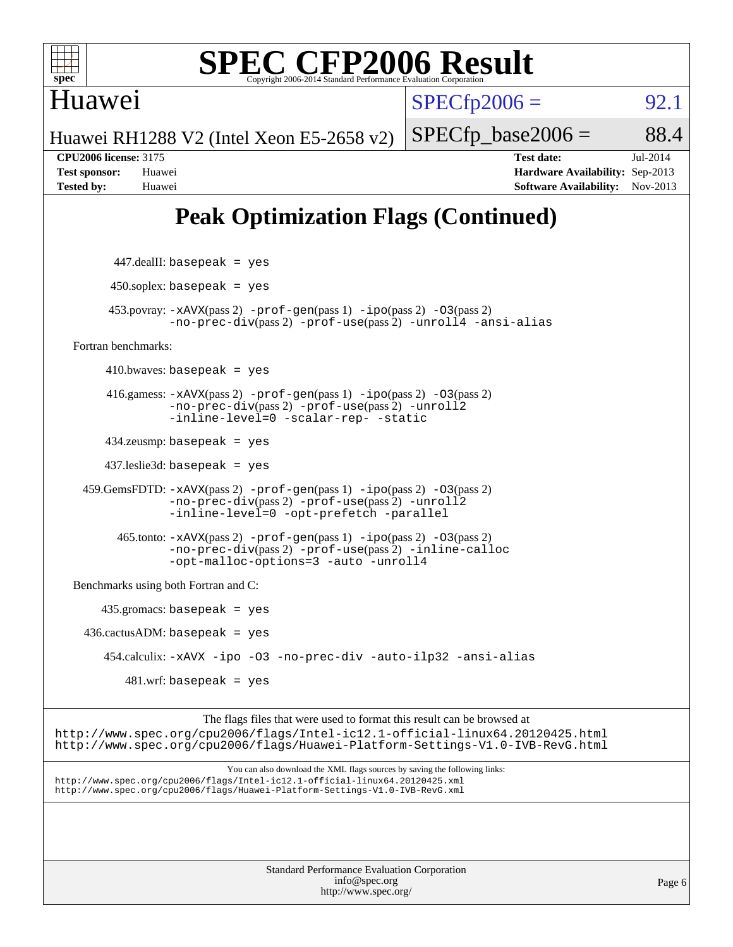

Huawei

# **[SPEC CFP2006 Result](http://www.spec.org/auto/cpu2006/Docs/result-fields.html#SPECCFP2006Result)**

 $SPECTp2006 = 92.1$ 

Huawei RH1288 V2 (Intel Xeon E5-2658 v2)

 $SPECTp\_base2006 = 88.4$ **[CPU2006 license:](http://www.spec.org/auto/cpu2006/Docs/result-fields.html#CPU2006license)** 3175 **[Test date:](http://www.spec.org/auto/cpu2006/Docs/result-fields.html#Testdate)** Jul-2014

## **[Peak Optimization Flags \(Continued\)](http://www.spec.org/auto/cpu2006/Docs/result-fields.html#PeakOptimizationFlags)**

**[Test sponsor:](http://www.spec.org/auto/cpu2006/Docs/result-fields.html#Testsponsor)** Huawei **[Hardware Availability:](http://www.spec.org/auto/cpu2006/Docs/result-fields.html#HardwareAvailability)** Sep-2013 **[Tested by:](http://www.spec.org/auto/cpu2006/Docs/result-fields.html#Testedby)** Huawei **[Software Availability:](http://www.spec.org/auto/cpu2006/Docs/result-fields.html#SoftwareAvailability)** Nov-2013

 447.dealII: basepeak = yes  $450$ .soplex: basepeak = yes 453.povray: [-xAVX](http://www.spec.org/cpu2006/results/res2014q3/cpu2006-20140715-30480.flags.html#user_peakPASS2_CXXFLAGSPASS2_LDFLAGS453_povray_f-xAVX)(pass 2) [-prof-gen](http://www.spec.org/cpu2006/results/res2014q3/cpu2006-20140715-30480.flags.html#user_peakPASS1_CXXFLAGSPASS1_LDFLAGS453_povray_prof_gen_e43856698f6ca7b7e442dfd80e94a8fc)(pass 1) [-ipo](http://www.spec.org/cpu2006/results/res2014q3/cpu2006-20140715-30480.flags.html#user_peakPASS2_CXXFLAGSPASS2_LDFLAGS453_povray_f-ipo)(pass 2) [-O3](http://www.spec.org/cpu2006/results/res2014q3/cpu2006-20140715-30480.flags.html#user_peakPASS2_CXXFLAGSPASS2_LDFLAGS453_povray_f-O3)(pass 2) [-no-prec-div](http://www.spec.org/cpu2006/results/res2014q3/cpu2006-20140715-30480.flags.html#user_peakPASS2_CXXFLAGSPASS2_LDFLAGS453_povray_f-no-prec-div)(pass 2) [-prof-use](http://www.spec.org/cpu2006/results/res2014q3/cpu2006-20140715-30480.flags.html#user_peakPASS2_CXXFLAGSPASS2_LDFLAGS453_povray_prof_use_bccf7792157ff70d64e32fe3e1250b55)(pass 2) [-unroll4](http://www.spec.org/cpu2006/results/res2014q3/cpu2006-20140715-30480.flags.html#user_peakCXXOPTIMIZE453_povray_f-unroll_4e5e4ed65b7fd20bdcd365bec371b81f) [-ansi-alias](http://www.spec.org/cpu2006/results/res2014q3/cpu2006-20140715-30480.flags.html#user_peakCXXOPTIMIZE453_povray_f-ansi-alias) [Fortran benchmarks](http://www.spec.org/auto/cpu2006/Docs/result-fields.html#Fortranbenchmarks):  $410.bwaves: basepeak = yes$  416.gamess: [-xAVX](http://www.spec.org/cpu2006/results/res2014q3/cpu2006-20140715-30480.flags.html#user_peakPASS2_FFLAGSPASS2_LDFLAGS416_gamess_f-xAVX)(pass 2) [-prof-gen](http://www.spec.org/cpu2006/results/res2014q3/cpu2006-20140715-30480.flags.html#user_peakPASS1_FFLAGSPASS1_LDFLAGS416_gamess_prof_gen_e43856698f6ca7b7e442dfd80e94a8fc)(pass 1) [-ipo](http://www.spec.org/cpu2006/results/res2014q3/cpu2006-20140715-30480.flags.html#user_peakPASS2_FFLAGSPASS2_LDFLAGS416_gamess_f-ipo)(pass 2) [-O3](http://www.spec.org/cpu2006/results/res2014q3/cpu2006-20140715-30480.flags.html#user_peakPASS2_FFLAGSPASS2_LDFLAGS416_gamess_f-O3)(pass 2) [-no-prec-div](http://www.spec.org/cpu2006/results/res2014q3/cpu2006-20140715-30480.flags.html#user_peakPASS2_FFLAGSPASS2_LDFLAGS416_gamess_f-no-prec-div)(pass 2) [-prof-use](http://www.spec.org/cpu2006/results/res2014q3/cpu2006-20140715-30480.flags.html#user_peakPASS2_FFLAGSPASS2_LDFLAGS416_gamess_prof_use_bccf7792157ff70d64e32fe3e1250b55)(pass 2) [-unroll2](http://www.spec.org/cpu2006/results/res2014q3/cpu2006-20140715-30480.flags.html#user_peakOPTIMIZE416_gamess_f-unroll_784dae83bebfb236979b41d2422d7ec2) [-inline-level=0](http://www.spec.org/cpu2006/results/res2014q3/cpu2006-20140715-30480.flags.html#user_peakOPTIMIZE416_gamess_f-inline-level_318d07a09274ad25e8d15dbfaa68ba50) [-scalar-rep-](http://www.spec.org/cpu2006/results/res2014q3/cpu2006-20140715-30480.flags.html#user_peakOPTIMIZE416_gamess_f-disablescalarrep_abbcad04450fb118e4809c81d83c8a1d) [-static](http://www.spec.org/cpu2006/results/res2014q3/cpu2006-20140715-30480.flags.html#user_peakOPTIMIZE416_gamess_f-static) 434.zeusmp: basepeak = yes 437.leslie3d: basepeak = yes 459.GemsFDTD: [-xAVX](http://www.spec.org/cpu2006/results/res2014q3/cpu2006-20140715-30480.flags.html#user_peakPASS2_FFLAGSPASS2_LDFLAGS459_GemsFDTD_f-xAVX)(pass 2) [-prof-gen](http://www.spec.org/cpu2006/results/res2014q3/cpu2006-20140715-30480.flags.html#user_peakPASS1_FFLAGSPASS1_LDFLAGS459_GemsFDTD_prof_gen_e43856698f6ca7b7e442dfd80e94a8fc)(pass 1) [-ipo](http://www.spec.org/cpu2006/results/res2014q3/cpu2006-20140715-30480.flags.html#user_peakPASS2_FFLAGSPASS2_LDFLAGS459_GemsFDTD_f-ipo)(pass 2) [-O3](http://www.spec.org/cpu2006/results/res2014q3/cpu2006-20140715-30480.flags.html#user_peakPASS2_FFLAGSPASS2_LDFLAGS459_GemsFDTD_f-O3)(pass 2) [-no-prec-div](http://www.spec.org/cpu2006/results/res2014q3/cpu2006-20140715-30480.flags.html#user_peakPASS2_FFLAGSPASS2_LDFLAGS459_GemsFDTD_f-no-prec-div)(pass 2) [-prof-use](http://www.spec.org/cpu2006/results/res2014q3/cpu2006-20140715-30480.flags.html#user_peakPASS2_FFLAGSPASS2_LDFLAGS459_GemsFDTD_prof_use_bccf7792157ff70d64e32fe3e1250b55)(pass 2) [-unroll2](http://www.spec.org/cpu2006/results/res2014q3/cpu2006-20140715-30480.flags.html#user_peakOPTIMIZE459_GemsFDTD_f-unroll_784dae83bebfb236979b41d2422d7ec2) [-inline-level=0](http://www.spec.org/cpu2006/results/res2014q3/cpu2006-20140715-30480.flags.html#user_peakOPTIMIZE459_GemsFDTD_f-inline-level_318d07a09274ad25e8d15dbfaa68ba50) [-opt-prefetch](http://www.spec.org/cpu2006/results/res2014q3/cpu2006-20140715-30480.flags.html#user_peakOPTIMIZE459_GemsFDTD_f-opt-prefetch) [-parallel](http://www.spec.org/cpu2006/results/res2014q3/cpu2006-20140715-30480.flags.html#user_peakOPTIMIZE459_GemsFDTD_f-parallel) 465.tonto: [-xAVX](http://www.spec.org/cpu2006/results/res2014q3/cpu2006-20140715-30480.flags.html#user_peakPASS2_FFLAGSPASS2_LDFLAGS465_tonto_f-xAVX)(pass 2) [-prof-gen](http://www.spec.org/cpu2006/results/res2014q3/cpu2006-20140715-30480.flags.html#user_peakPASS1_FFLAGSPASS1_LDFLAGS465_tonto_prof_gen_e43856698f6ca7b7e442dfd80e94a8fc)(pass 1) [-ipo](http://www.spec.org/cpu2006/results/res2014q3/cpu2006-20140715-30480.flags.html#user_peakPASS2_FFLAGSPASS2_LDFLAGS465_tonto_f-ipo)(pass 2) [-O3](http://www.spec.org/cpu2006/results/res2014q3/cpu2006-20140715-30480.flags.html#user_peakPASS2_FFLAGSPASS2_LDFLAGS465_tonto_f-O3)(pass 2) [-no-prec-div](http://www.spec.org/cpu2006/results/res2014q3/cpu2006-20140715-30480.flags.html#user_peakPASS2_FFLAGSPASS2_LDFLAGS465_tonto_f-no-prec-div)(pass 2) [-prof-use](http://www.spec.org/cpu2006/results/res2014q3/cpu2006-20140715-30480.flags.html#user_peakPASS2_FFLAGSPASS2_LDFLAGS465_tonto_prof_use_bccf7792157ff70d64e32fe3e1250b55)(pass 2) [-inline-calloc](http://www.spec.org/cpu2006/results/res2014q3/cpu2006-20140715-30480.flags.html#user_peakOPTIMIZE465_tonto_f-inline-calloc) [-opt-malloc-options=3](http://www.spec.org/cpu2006/results/res2014q3/cpu2006-20140715-30480.flags.html#user_peakOPTIMIZE465_tonto_f-opt-malloc-options_13ab9b803cf986b4ee62f0a5998c2238) [-auto](http://www.spec.org/cpu2006/results/res2014q3/cpu2006-20140715-30480.flags.html#user_peakOPTIMIZE465_tonto_f-auto) [-unroll4](http://www.spec.org/cpu2006/results/res2014q3/cpu2006-20140715-30480.flags.html#user_peakOPTIMIZE465_tonto_f-unroll_4e5e4ed65b7fd20bdcd365bec371b81f) [Benchmarks using both Fortran and C](http://www.spec.org/auto/cpu2006/Docs/result-fields.html#BenchmarksusingbothFortranandC): 435.gromacs: basepeak = yes  $436.cactusADM:basepeak = yes$  454.calculix: [-xAVX](http://www.spec.org/cpu2006/results/res2014q3/cpu2006-20140715-30480.flags.html#user_peakOPTIMIZE454_calculix_f-xAVX) [-ipo](http://www.spec.org/cpu2006/results/res2014q3/cpu2006-20140715-30480.flags.html#user_peakOPTIMIZE454_calculix_f-ipo) [-O3](http://www.spec.org/cpu2006/results/res2014q3/cpu2006-20140715-30480.flags.html#user_peakOPTIMIZE454_calculix_f-O3) [-no-prec-div](http://www.spec.org/cpu2006/results/res2014q3/cpu2006-20140715-30480.flags.html#user_peakOPTIMIZE454_calculix_f-no-prec-div) [-auto-ilp32](http://www.spec.org/cpu2006/results/res2014q3/cpu2006-20140715-30480.flags.html#user_peakCOPTIMIZE454_calculix_f-auto-ilp32) [-ansi-alias](http://www.spec.org/cpu2006/results/res2014q3/cpu2006-20140715-30480.flags.html#user_peakCOPTIMIZE454_calculix_f-ansi-alias)  $481$ .wrf: basepeak = yes The flags files that were used to format this result can be browsed at <http://www.spec.org/cpu2006/flags/Intel-ic12.1-official-linux64.20120425.html> <http://www.spec.org/cpu2006/flags/Huawei-Platform-Settings-V1.0-IVB-RevG.html> You can also download the XML flags sources by saving the following links: <http://www.spec.org/cpu2006/flags/Intel-ic12.1-official-linux64.20120425.xml>

> Standard Performance Evaluation Corporation [info@spec.org](mailto:info@spec.org) <http://www.spec.org/>

<http://www.spec.org/cpu2006/flags/Huawei-Platform-Settings-V1.0-IVB-RevG.xml>